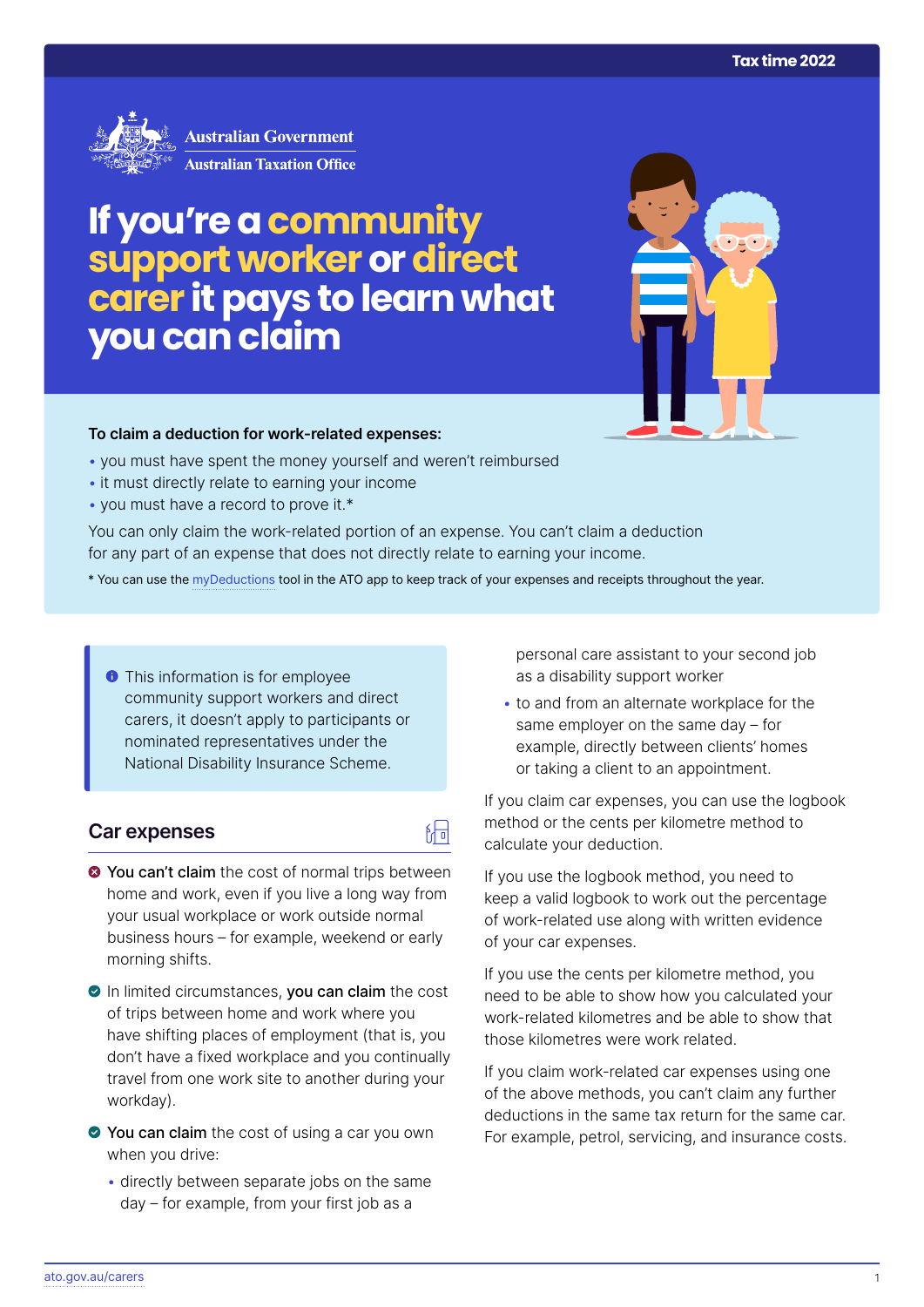

# **If you're a community support worker or direct carer it pays to learn what you can claim**



#### **To claim a deduction for work‑related expenses:**

- you must have spent the money yourself and weren't reimbursed
- it must directly relate to earning your income
- you must have a record to prove it.\*

You can only claim the work-related portion of an expense. You can't claim a deduction for any part of an expense that does not directly relate to earning your income.

\* You can use the [myDeductions](https://ato.gov.au/mydeductions) tool in the ATO app to keep track of your expenses and receipts throughout the year.

 $\sqrt{\frac{1}{n}}$ 

**This information is for employee** community support workers and direct carers, it doesn't apply to participants or nominated representatives under the National Disability Insurance Scheme.

## **Car expenses**

- $\bullet$  **You can't claim** the cost of normal trips between home and work, even if you live a long way from your usual workplace or work outside normal business hours – for example, weekend or early morning shifts.
- In limited circumstances, you can claim the cost of trips between home and work where you have shifting places of employment (that is, you don't have a fixed workplace and you continually travel from one work site to another during your workday).
- ◆ You can claim the cost of using a car you own when you drive:
	- directly between separate jobs on the same day – for example, from your first job as a

personal care assistant to your second job as a disability support worker

• to and from an alternate workplace for the same employer on the same day – for example, directly between clients' homes or taking a client to an appointment.

If you claim car expenses, you can use the logbook method or the cents per kilometre method to calculate your deduction.

If you use the logbook method, you need to keep a valid logbook to work out the percentage of work-related use along with written evidence of your car expenses.

If you use the cents per kilometre method, you need to be able to show how you calculated your work-related kilometres and be able to show that those kilometres were work related.

If you claim work-related car expenses using one of the above methods, you can't claim any further deductions in the same tax return for the same car. For example, petrol, servicing, and insurance costs.